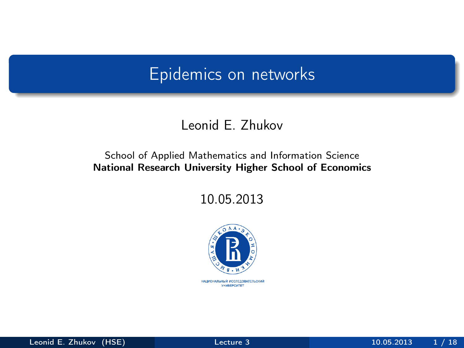## Epidemics on networks

#### Leonid E. Zhukov

#### School of Applied Mathematics and Information Science National Research University Higher School of Economics

10.05.2013

<span id="page-0-0"></span>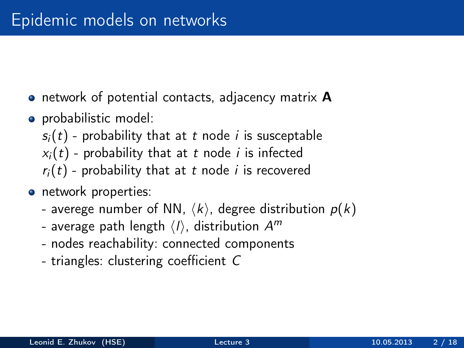- **•** network of potential contacts, adjacency matrix **A**
- probabilistic model:
	- $s_i(t)$  probability that at t node *i* is susceptable
	- $x_i(t)$  probability that at t node i is infected
	- $r_i(t)$  probability that at t node i is recovered
- network properties:
	- averege number of NN,  $\langle k \rangle$ , degree distribution  $p(k)$
	- average path length  $\langle l \rangle$ , distribution  $\mathcal{A}^m$
	- nodes reachability: connected components
	- triangles: clustering coefficient C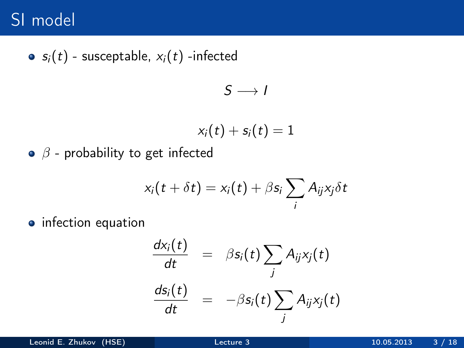# SI model

 $\bullet$ 

$$
s_i(t)
$$
 - susceptible,  $x_i(t)$  -infected  

$$
S \longrightarrow I
$$

$$
x_i(t) + s_i(t) = 1
$$

 $\circ$   $\beta$  - probability to get infected

$$
x_i(t+\delta t)=x_i(t)+\beta s_i\sum_i A_{ij}x_j\delta t
$$

• infection equation

$$
\frac{dx_i(t)}{dt} = \beta s_i(t) \sum_j A_{ij} x_j(t)
$$

$$
\frac{ds_i(t)}{dt} = -\beta s_i(t) \sum_j A_{ij} x_j(t)
$$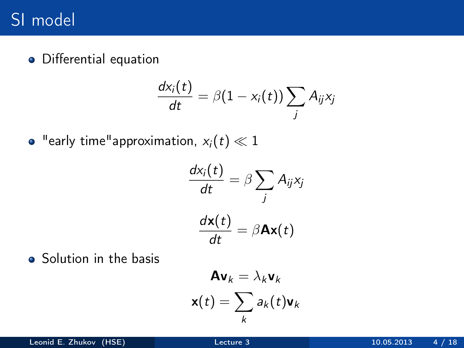# SI model

Differential equation

$$
\frac{d x_i(t)}{dt} = \beta (1-x_i(t)) \sum_j A_{ij} x_j
$$

• "early time"approximation,  $x_i(t) \ll 1$ 

$$
\frac{dx_i(t)}{dt} = \beta \sum_j A_{ij} x_j
$$

$$
\frac{d\mathbf{x}(t)}{dt} = \beta \mathbf{A}\mathbf{x}(t)
$$

• Solution in the basis

$$
\mathbf{A}\mathbf{v}_k = \lambda_k \mathbf{v}_k
$$

$$
\mathbf{x}(t) = \sum_k a_k(t) \mathbf{v}_k
$$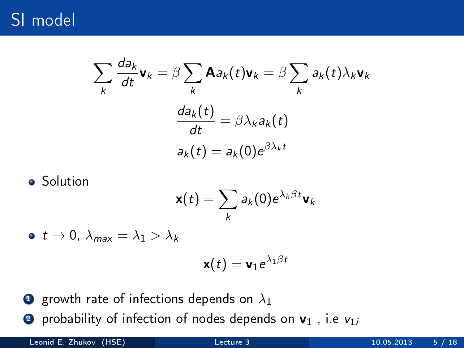# SI model

$$
\sum_{k} \frac{da_k}{dt} \mathbf{v}_k = \beta \sum_{k} \mathbf{A} a_k(t) \mathbf{v}_k = \beta \sum_{k} a_k(t) \lambda_k \mathbf{v}_k
$$

$$
\frac{da_k(t)}{dt} = \beta \lambda_k a_k(t)
$$

$$
a_k(t) = a_k(0) e^{\beta \lambda_k t}
$$

Solution

$$
\mathbf{x}(t) = \sum_{k} a_k(0) e^{\lambda_k \beta t} \mathbf{v}_k
$$

 $\bullet$  t  $\rightarrow$  0,  $\lambda_{\text{max}} = \lambda_1 > \lambda_k$ 

$$
\mathbf{x}(t)=\mathbf{v}_1e^{\lambda_1\beta t}
$$

- **1** growth rate of infections depends on  $\lambda_1$
- **2** probability of infection of nodes depends on  $v_1$ , i.e  $v_{1i}$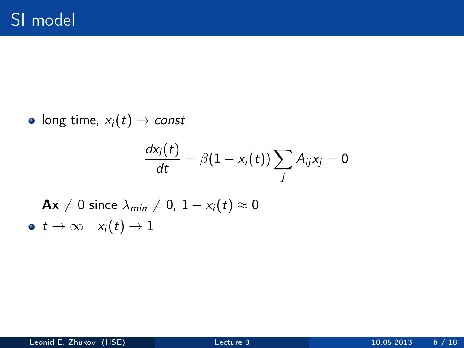• long time,  $x_i(t) \rightarrow const$ 

$$
\frac{d x_i(t)}{dt} = \beta(1-x_i(t))\sum_j A_{ij}x_j = 0
$$

 $\mathbf{A}\mathbf{x} \neq 0$  since  $\lambda_{\text{min}} \neq 0, 1 - x_i(t) \approx 0$  $\bullet \, t \to \infty \quad x_i(t) \to 1$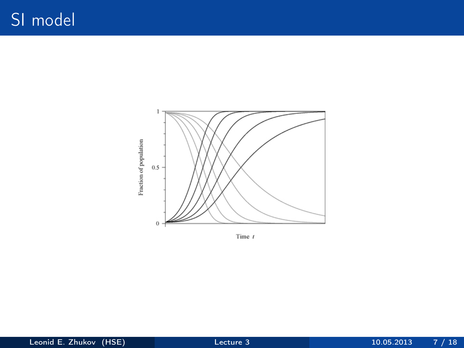

Time  $t$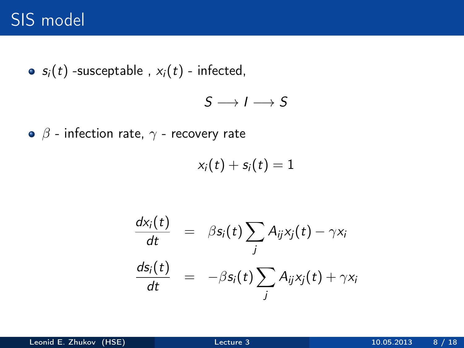# SIS model

•  $s_i(t)$  -susceptable,  $x_i(t)$  - infected,

 $S \longrightarrow I \longrightarrow S$ 

 $\bullet$   $\beta$  - infection rate,  $\gamma$  - recovery rate

$$
x_i(t) + s_i(t) = 1
$$

$$
\frac{dx_i(t)}{dt} = \beta s_i(t) \sum_j A_{ij} x_j(t) - \gamma x_i
$$

$$
\frac{ds_i(t)}{dt} = -\beta s_i(t) \sum_j A_{ij} x_j(t) + \gamma x_i
$$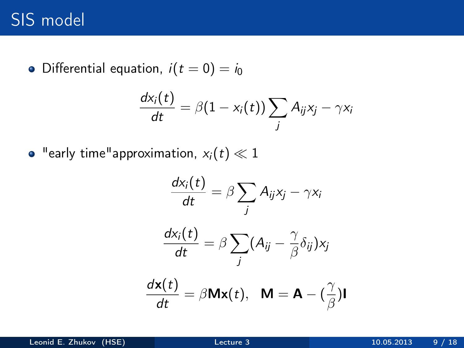# SIS model

• Differential equation,  $i(t = 0) = i_0$ 

$$
\frac{d\mathsf{x}_i(t)}{dt} = \beta(1-\mathsf{x}_i(t))\sum_j A_{ij}\mathsf{x}_j - \gamma \mathsf{x}_i
$$

• "early time"approximation,  $x_i(t) \ll 1$ 

$$
\frac{dx_i(t)}{dt} = \beta \sum_j A_{ij}x_j - \gamma x_i
$$

$$
\frac{dx_i(t)}{dt} = \beta \sum_j (A_{ij} - \frac{\gamma}{\beta} \delta_{ij})x_j
$$

$$
\frac{d\mathbf{x}(t)}{dt} = \beta \mathbf{M}\mathbf{x}(t), \quad \mathbf{M} = \mathbf{A} - (\frac{\gamma}{\beta})\mathbf{I}
$$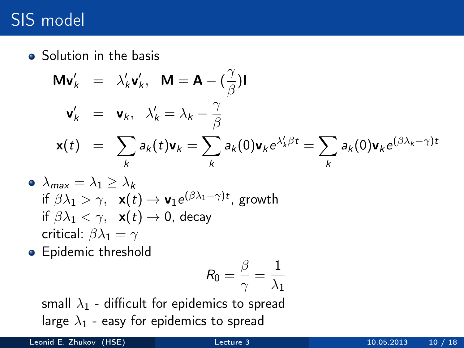# SIS model

• Solution in the basis

$$
\begin{array}{rcl}\n\mathbf{M}\mathbf{v}'_k &=& \lambda'_k \mathbf{v}'_k, \quad \mathbf{M} = \mathbf{A} - \left(\frac{\gamma}{\beta}\right) \mathbf{I} \\
\mathbf{v}'_k &=& \mathbf{v}_k, \quad \lambda'_k = \lambda_k - \frac{\gamma}{\beta} \\
\mathbf{x}(t) &=& \sum_k a_k(t)\mathbf{v}_k = \sum_k a_k(0)\mathbf{v}_k e^{\lambda'_k \beta t} = \sum_k a_k(0)\mathbf{v}_k e^{(\beta \lambda_k - \gamma)t}\n\end{array}
$$

• 
$$
\lambda_{max} = \lambda_1 \ge \lambda_k
$$
  
\nif  $\beta \lambda_1 > \gamma$ ,  $\mathbf{x}(t) \to \mathbf{v}_1 e^{(\beta \lambda_1 - \gamma)t}$ , growth  
\nif  $\beta \lambda_1 < \gamma$ ,  $\mathbf{x}(t) \to 0$ , decay  
\ncritical:  $\beta \lambda_1 = \gamma$ 

**•** Epidemic threshold

$$
R_0=\frac{\beta}{\gamma}=\frac{1}{\lambda_1}
$$

small  $\lambda_1$  - difficult for epidemics to spread large  $\lambda_1$  - easy for epidemics to spread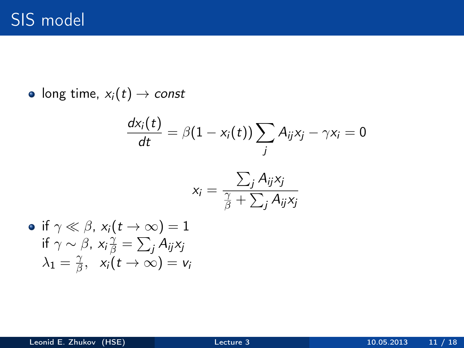$if$ 

• long time,  $x_i(t) \rightarrow const$ 

$$
\frac{dx_i(t)}{dt} = \beta(1 - x_i(t)) \sum_j A_{ij}x_j - \gamma x_i = 0
$$

$$
x_i = \frac{\sum_j A_{ij}x_j}{\frac{\gamma}{\beta} + \sum_j A_{ij}x_j}
$$
if  $\gamma \ll \beta$ ,  $x_i(t \to \infty) = 1$   
if  $\gamma \sim \beta$ ,  $x_i \frac{\gamma}{\beta} = \sum_j A_{ij}x_j$ 
$$
\lambda_1 = \frac{\gamma}{\beta}, \quad x_i(t \to \infty) = v_i
$$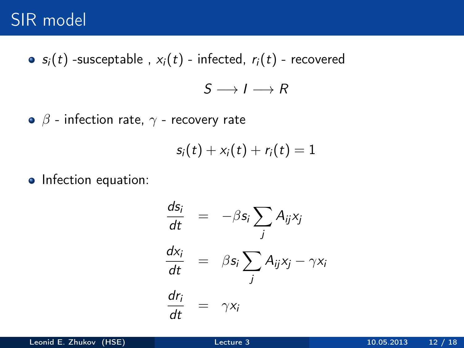#### SIR model

• 
$$
s_i(t)
$$
 -susceptable,  $x_i(t)$  - infected,  $r_i(t)$  - recovered

 $S \longrightarrow I \longrightarrow R$ 

 $\bullet$   $\beta$  - infection rate,  $\gamma$  - recovery rate

$$
s_i(t) + x_i(t) + r_i(t) = 1
$$

• Infection equation:

$$
\frac{ds_i}{dt} = -\beta s_i \sum_j A_{ij} x_j
$$
\n
$$
\frac{dx_i}{dt} = \beta s_i \sum_j A_{ij} x_j - \gamma x_i
$$
\n
$$
\frac{dr_i}{dt} = \gamma x_i
$$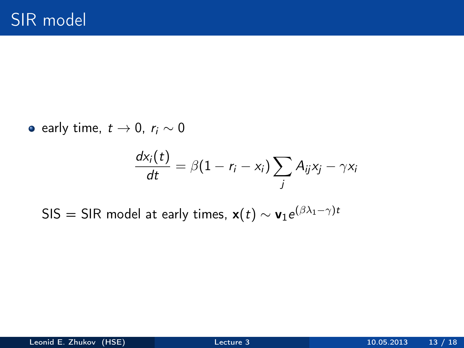e early time,  $t \rightarrow 0$ ,  $r_i \sim 0$ 

$$
\frac{dx_i(t)}{dt} = \beta(1 - r_i - x_i) \sum_j A_{ij}x_j - \gamma x_i
$$

SIS  $=$  SIR model at early times,  $\mathbf{x}(t) \sim \mathbf{v}_1 \mathrm{e}^{(\beta \lambda_1 - \gamma) t}$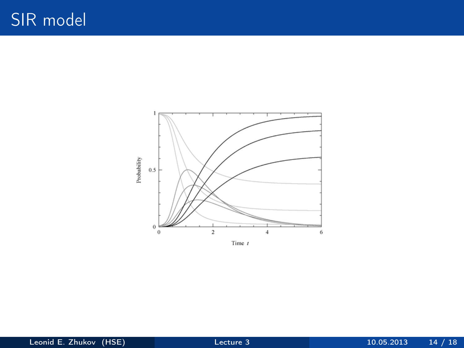

Time  $t$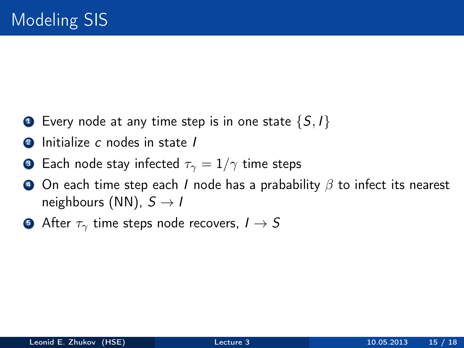- **1** Every node at any time step is in one state  $\{S, I\}$
- **2** Initialize c nodes in state I
- **3** Each node stay infected  $\tau_{\gamma} = 1/\gamma$  time steps
- $\bullet$  On each time step each I node has a prabability  $\beta$  to infect its nearest neighbours (NN),  $S \rightarrow I$
- **•** After  $\tau_{\gamma}$  time steps node recovers,  $I \rightarrow S$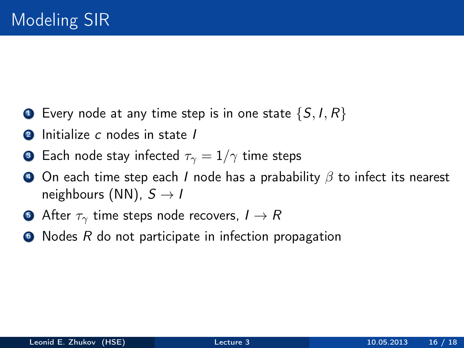- $\bullet$  Every node at any time step is in one state  $\{S, I, R\}$
- **2** Initialize c nodes in state I
- **3** Each node stay infected  $\tau_{\gamma} = 1/\gamma$  time steps
- $\bullet$  On each time step each I node has a prabability  $\beta$  to infect its nearest neighbours (NN),  $S \rightarrow I$
- **After**  $\tau_{\gamma}$  time steps node recovers,  $I \rightarrow R$
- $\bullet$  Nodes R do not participate in infection propagation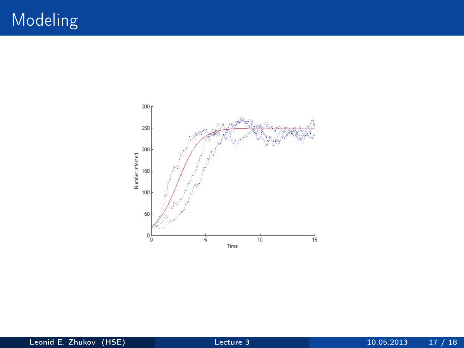